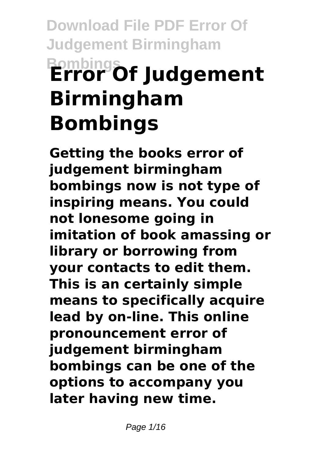## **Download File PDF Error Of Judgement Birmingham Bombings Error Of Judgement Birmingham Bombings**

**Getting the books error of judgement birmingham bombings now is not type of inspiring means. You could not lonesome going in imitation of book amassing or library or borrowing from your contacts to edit them. This is an certainly simple means to specifically acquire lead by on-line. This online pronouncement error of judgement birmingham bombings can be one of the options to accompany you later having new time.**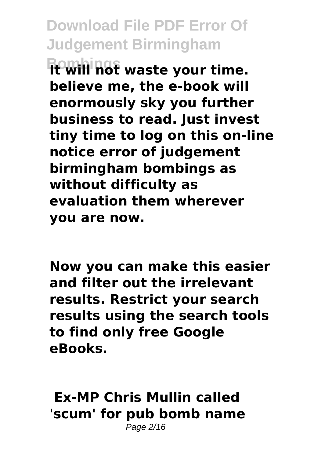**Bombings It will not waste your time. believe me, the e-book will enormously sky you further business to read. Just invest tiny time to log on this on-line notice error of judgement birmingham bombings as without difficulty as evaluation them wherever you are now.**

**Now you can make this easier and filter out the irrelevant results. Restrict your search results using the search tools to find only free Google eBooks.** 

**Ex-MP Chris Mullin called 'scum' for pub bomb name** Page 2/16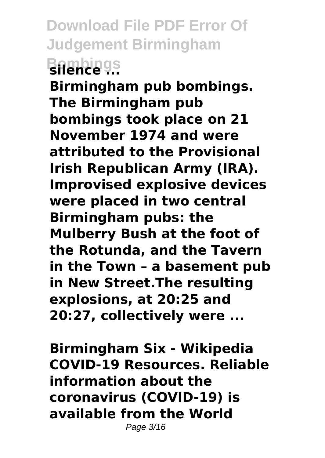## **Download File PDF Error Of Judgement Birmingham Bombings silence ...**

**Birmingham pub bombings. The Birmingham pub bombings took place on 21 November 1974 and were attributed to the Provisional Irish Republican Army (IRA). Improvised explosive devices were placed in two central Birmingham pubs: the Mulberry Bush at the foot of the Rotunda, and the Tavern in the Town – a basement pub in New Street.The resulting explosions, at 20:25 and 20:27, collectively were ...**

**Birmingham Six - Wikipedia COVID-19 Resources. Reliable information about the coronavirus (COVID-19) is available from the World** Page 3/16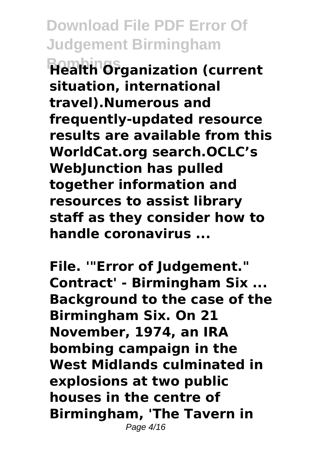**Bombings Health Organization (current situation, international travel).Numerous and frequently-updated resource results are available from this WorldCat.org search.OCLC's WebJunction has pulled together information and resources to assist library staff as they consider how to handle coronavirus ...**

**File. '"Error of Judgement." Contract' - Birmingham Six ... Background to the case of the Birmingham Six. On 21 November, 1974, an IRA bombing campaign in the West Midlands culminated in explosions at two public houses in the centre of Birmingham, 'The Tavern in** Page 4/16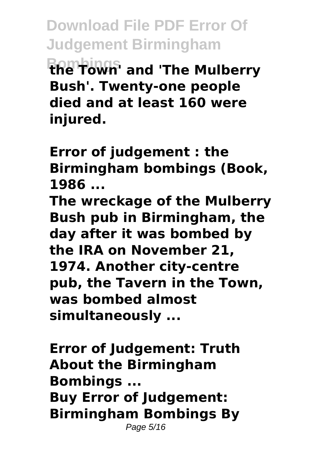**Download File PDF Error Of Judgement Birmingham Bombings the Town' and 'The Mulberry Bush'. Twenty-one people died and at least 160 were injured.**

**Error of judgement : the Birmingham bombings (Book, 1986 ...**

**The wreckage of the Mulberry Bush pub in Birmingham, the day after it was bombed by the IRA on November 21, 1974. Another city-centre pub, the Tavern in the Town, was bombed almost simultaneously ...**

**Error of Judgement: Truth About the Birmingham Bombings ... Buy Error of Judgement: Birmingham Bombings By** Page 5/16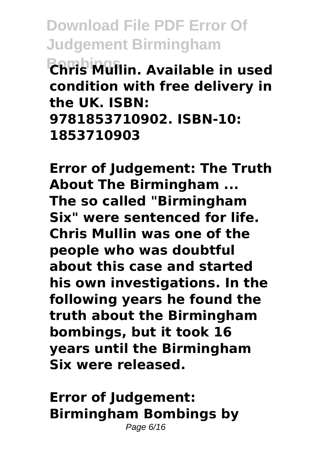**Bombings Chris Mullin. Available in used condition with free delivery in the UK. ISBN: 9781853710902. ISBN-10: 1853710903**

**Error of Judgement: The Truth About The Birmingham ... The so called "Birmingham Six" were sentenced for life. Chris Mullin was one of the people who was doubtful about this case and started his own investigations. In the following years he found the truth about the Birmingham bombings, but it took 16 years until the Birmingham Six were released.**

**Error of Judgement: Birmingham Bombings by** Page 6/16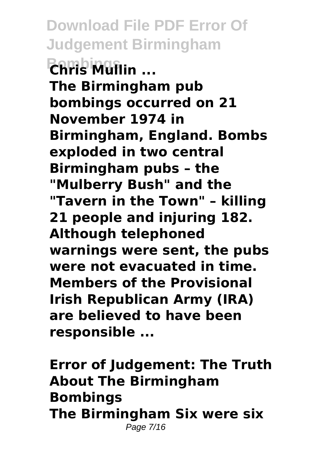**Download File PDF Error Of Judgement Birmingham Bombings Chris Mullin ... The Birmingham pub bombings occurred on 21 November 1974 in Birmingham, England. Bombs exploded in two central Birmingham pubs – the "Mulberry Bush" and the "Tavern in the Town" – killing 21 people and injuring 182. Although telephoned warnings were sent, the pubs were not evacuated in time. Members of the Provisional Irish Republican Army (IRA) are believed to have been responsible ...**

**Error of Judgement: The Truth About The Birmingham Bombings The Birmingham Six were six** Page 7/16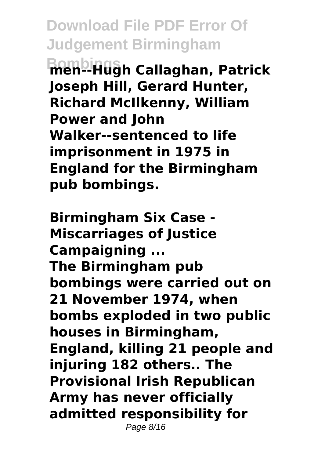**Download File PDF Error Of Judgement Birmingham Bombings men--Hugh Callaghan, Patrick Joseph Hill, Gerard Hunter, Richard McIlkenny, William Power and John Walker--sentenced to life imprisonment in 1975 in England for the Birmingham pub bombings.**

**Birmingham Six Case - Miscarriages of Justice Campaigning ... The Birmingham pub bombings were carried out on 21 November 1974, when bombs exploded in two public houses in Birmingham, England, killing 21 people and injuring 182 others.. The Provisional Irish Republican Army has never officially admitted responsibility for** Page 8/16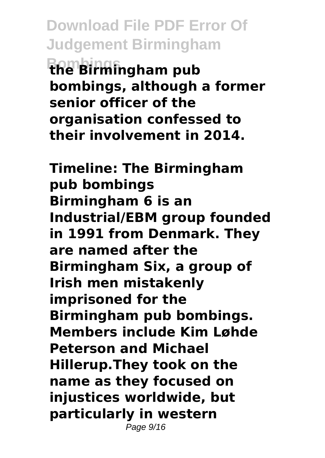**Download File PDF Error Of Judgement Birmingham Bombings the Birmingham pub bombings, although a former senior officer of the organisation confessed to their involvement in 2014.**

**Timeline: The Birmingham pub bombings Birmingham 6 is an Industrial/EBM group founded in 1991 from Denmark. They are named after the Birmingham Six, a group of Irish men mistakenly imprisoned for the Birmingham pub bombings. Members include Kim Løhde Peterson and Michael Hillerup.They took on the name as they focused on injustices worldwide, but particularly in western** Page 9/16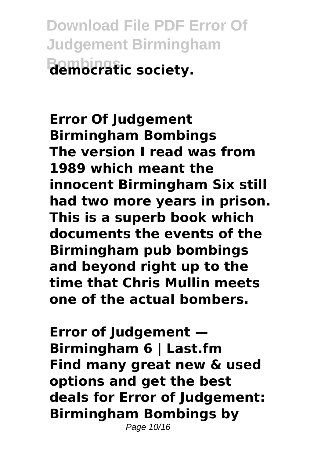**Download File PDF Error Of Judgement Birmingham Bombings democratic society.**

**Error Of Judgement Birmingham Bombings The version I read was from 1989 which meant the innocent Birmingham Six still had two more years in prison. This is a superb book which documents the events of the Birmingham pub bombings and beyond right up to the time that Chris Mullin meets one of the actual bombers.**

**Error of Judgement — Birmingham 6 | Last.fm Find many great new & used options and get the best deals for Error of Judgement: Birmingham Bombings by**

Page 10/16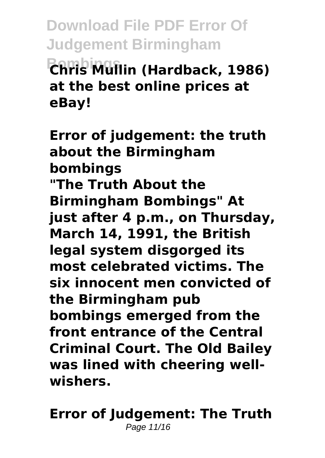**Bombings Chris Mullin (Hardback, 1986) at the best online prices at eBay!**

**Error of judgement: the truth about the Birmingham bombings "The Truth About the Birmingham Bombings" At just after 4 p.m., on Thursday, March 14, 1991, the British legal system disgorged its most celebrated victims. The six innocent men convicted of the Birmingham pub bombings emerged from the front entrance of the Central Criminal Court. The Old Bailey was lined with cheering wellwishers.**

**Error of Judgement: The Truth** Page 11/16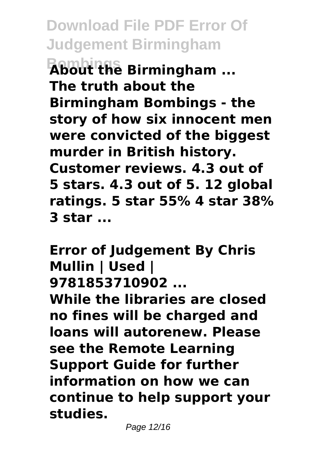**Bombings About the Birmingham ... The truth about the Birmingham Bombings - the story of how six innocent men were convicted of the biggest murder in British history. Customer reviews. 4.3 out of 5 stars. 4.3 out of 5. 12 global ratings. 5 star 55% 4 star 38% 3 star ...**

**Error of Judgement By Chris Mullin | Used | 9781853710902 ... While the libraries are closed no fines will be charged and loans will autorenew. Please see the Remote Learning Support Guide for further information on how we can continue to help support your studies.**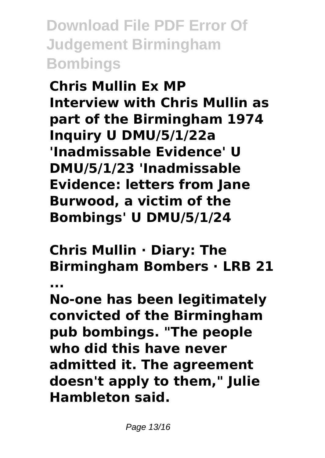**Chris Mullin Ex MP Interview with Chris Mullin as part of the Birmingham 1974 Inquiry U DMU/5/1/22a 'Inadmissable Evidence' U DMU/5/1/23 'Inadmissable Evidence: letters from Jane Burwood, a victim of the Bombings' U DMU/5/1/24**

**Chris Mullin · Diary: The Birmingham Bombers · LRB 21**

**...**

**No-one has been legitimately convicted of the Birmingham pub bombings. "The people who did this have never admitted it. The agreement doesn't apply to them," Julie Hambleton said.**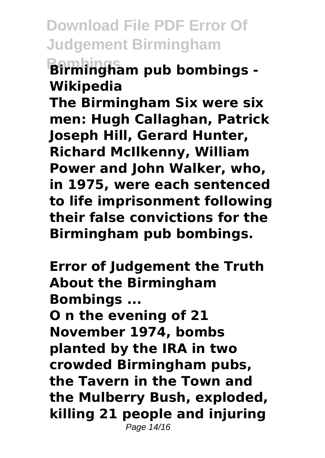**Bombings Birmingham pub bombings - Wikipedia**

**The Birmingham Six were six men: Hugh Callaghan, Patrick Joseph Hill, Gerard Hunter, Richard McIlkenny, William Power and John Walker, who, in 1975, were each sentenced to life imprisonment following their false convictions for the Birmingham pub bombings.**

**Error of Judgement the Truth About the Birmingham Bombings ...**

**O n the evening of 21 November 1974, bombs planted by the IRA in two crowded Birmingham pubs, the Tavern in the Town and the Mulberry Bush, exploded, killing 21 people and injuring** Page 14/16